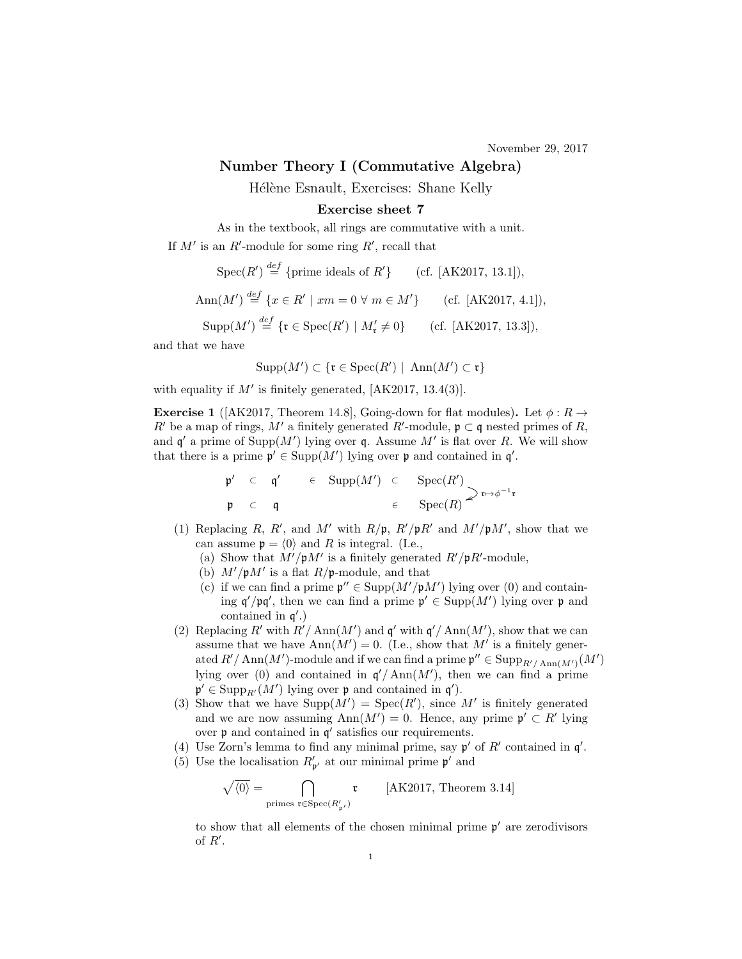## Number Theory I (Commutative Algebra)

Hélène Esnault, Exercises: Shane Kelly

## Exercise sheet 7

As in the textbook, all rings are commutative with a unit. If  $M'$  is an R'-module for some ring R', recall that

$$
\operatorname{Spec}(R') \stackrel{\text{def}}{=} \{\text{prime ideals of } R'\} \qquad \text{(cf. [AK2017, 13.1]),}
$$
  

$$
\operatorname{Ann}(M') \stackrel{\text{def}}{=} \{x \in R' \mid xm = 0 \,\forall \, m \in M'\} \qquad \text{(cf. [AK2017, 4.1]),}
$$

 $\text{Supp}(M') \stackrel{def}{=} {\{\mathfrak{r} \in \text{Spec}(R') \mid M'_{\mathfrak{r}} \neq 0\}}$  (cf. [AK2017, 13.3]),

and that we have

$$
Supp(M') \subset \{ \mathfrak{r} \in Spec(R') \mid \, \mathrm{Ann}(M') \subset \mathfrak{r} \}
$$

with equality if  $M'$  is finitely generated, [AK2017, 13.4(3)].

**Exercise 1** ( $AK2017$ , Theorem 14.8), Going-down for flat modules). Let  $\phi : R \rightarrow$ R' be a map of rings, M' a finitely generated R'-module,  $\mathfrak{p} \subset \mathfrak{q}$  nested primes of R, and  $\mathfrak{q}'$  a prime of Supp $(M')$  lying over q. Assume M' is flat over R. We will show that there is a prime  $\mathfrak{p}' \in \text{Supp}(M')$  lying over  $\mathfrak{p}$  and contained in  $\mathfrak{q}'$ .

$$
\begin{array}{cccc}\n\mathfrak{p}' & \subset & \mathfrak{q}' & \in & \text{Supp}(M') & \subset & \text{Spec}(R') \\
\mathfrak{p} & \subset & \mathfrak{q} & & \in & \text{Spec}(R) \\
\end{array}\n\begin{array}{cccc}\n\mathfrak{p} & \subset & \mathfrak{p} \\
\mathfrak{p} & \subset & \mathfrak{p} \\
\end{array}
$$

- (1) Replacing R, R', and M' with  $R/\mathfrak{p}$ ,  $R'/\mathfrak{p}R'$  and  $M'/\mathfrak{p}M'$ , show that we can assume  $\mathfrak{p} = \langle 0 \rangle$  and R is integral. (I.e.,
	- (a) Show that  $M'/pM'$  is a finitely generated  $R'/pR'$ -module,
	- (b)  $M'/pM'$  is a flat  $R/p$ -module, and that
	- (c) if we can find a prime  $\mathfrak{p}'' \in \text{Supp}(M'/\mathfrak{p}M')$  lying over (0) and containing  $\mathfrak{q}'/\mathfrak{p}\mathfrak{q}'$ , then we can find a prime  $\mathfrak{p}' \in \text{Supp}(M')$  lying over  $\mathfrak{p}$  and contained in  $q'$ .)
- (2) Replacing R' with  $R'/\text{Ann}(M')$  and  $\mathfrak{q}'$  with  $\mathfrak{q}'/\text{Ann}(M')$ , show that we can assume that we have  $\text{Ann}(M') = 0$ . (I.e., show that M' is a finitely generated  $R'/\text{Ann}(M')$ -module and if we can find a prime  $\mathfrak{p}'' \in \text{Supp}_{R'/\text{Ann}(M')}(M')$ lying over (0) and contained in  $\mathfrak{q}'/\text{Ann}(M')$ , then we can find a prime  $\mathfrak{p}' \in \text{Supp}_{R'}(M')$  lying over  $\mathfrak{p}$  and contained in  $\mathfrak{q}'$ ).
- (3) Show that we have  $\text{Supp}(M') = \text{Spec}(R')$ , since M' is finitely generated and we are now assuming  $\text{Ann}(M') = 0$ . Hence, any prime  $\mathfrak{p}' \subset R'$  lying over  $\mathfrak p$  and contained in  $\mathfrak q'$  satisfies our requirements.
- (4) Use Zorn's lemma to find any minimal prime, say  $p'$  of  $R'$  contained in  $q'$ .
- (5) Use the localisation  $R'_{p'}$  at our minimal prime  $p'$  and

$$
\sqrt{\langle 0\rangle} = \bigcap_{\text{primes } \mathfrak{r} \in \mathrm{Spec}(R'_{\mathfrak{p}'})} \mathfrak{r} \qquad \text{[AK2017, Theorem 3.14]}
$$

to show that all elements of the chosen minimal prime  $\mathfrak{p}'$  are zerodivisors of  $R'$ .